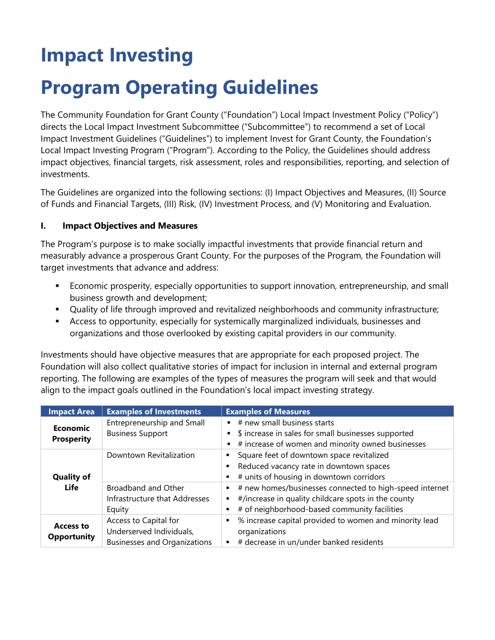# **Impact Investing**

# **Program Operating Guidelines**

The Community Foundation for Grant County ("Foundation") Local Impact Investment Policy ("Policy") directs the Local Impact Investment Subcommittee ("Subcommittee") to recommend a set of Local Impact Investment Guidelines ("Guidelines") to implement Invest for Grant County, the Foundation's Local Impact Investing Program ("Program"). According to the Policy, the Guidelines should address impact objectives, financial targets, risk assessment, roles and responsibilities, reporting, and selection of investments.

The Guidelines are organized into the following sections: (I) Impact Objectives and Measures, (II) Source of Funds and Financial Targets, (III) Risk, (IV) Investment Process, and (V) Monitoring and Evaluation.

## **I. Impact Objectives and Measures**

The Program's purpose is to make socially impactful investments that provide financial return and measurably advance a prosperous Grant County. For the purposes of the Program, the Foundation will target investments that advance and address:

- Economic prosperity, especially opportunities to support innovation, entrepreneurship, and small business growth and development;
- Quality of life through improved and revitalized neighborhoods and community infrastructure;
- Access to opportunity, especially for systemically marginalized individuals, businesses and organizations and those overlooked by existing capital providers in our community.

Investments should have objective measures that are appropriate for each proposed project. The Foundation will also collect qualitative stories of impact for inclusion in internal and external program reporting. The following are examples of the types of measures the program will seek and that would align to the impact goals outlined in the Foundation's local impact investing strategy.

| <b>Impact Area</b>                     | <b>Examples of Investments</b>                                                           | <b>Examples of Measures</b>                                                                                                                                    |  |
|----------------------------------------|------------------------------------------------------------------------------------------|----------------------------------------------------------------------------------------------------------------------------------------------------------------|--|
| Economic<br><b>Prosperity</b>          | Entrepreneurship and Small<br><b>Business Support</b>                                    | $\blacksquare$ # new small business starts<br>\$ increase in sales for small businesses supported<br># increase of women and minority owned businesses         |  |
| <b>Quality of</b>                      | Downtown Revitalization                                                                  | Square feet of downtown space revitalized<br>Reduced vacancy rate in downtown spaces<br># units of housing in downtown corridors                               |  |
| <b>Life</b>                            | Broadband and Other<br>Infrastructure that Addresses<br>Equity                           | # new homes/businesses connected to high-speed internet<br>#/increase in quality childcare spots in the county<br># of neighborhood-based community facilities |  |
| <b>Access to</b><br><b>Opportunity</b> | Access to Capital for<br>Underserved Individuals,<br><b>Businesses and Organizations</b> | % increase capital provided to women and minority lead<br>organizations<br># decrease in un/under banked residents                                             |  |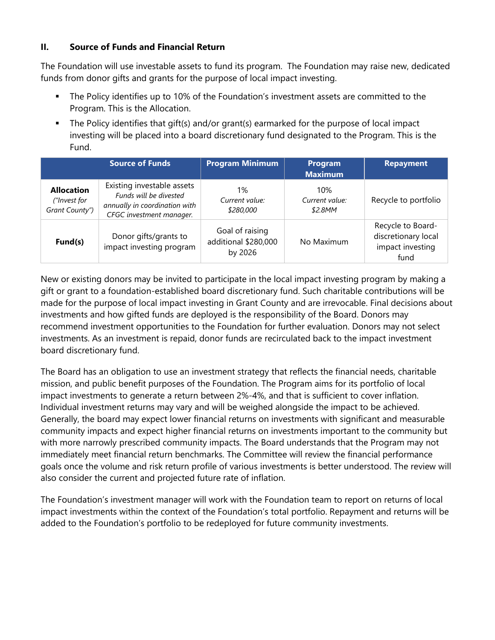#### **II. Source of Funds and Financial Return**

The Foundation will use investable assets to fund its program. The Foundation may raise new, dedicated funds from donor gifts and grants for the purpose of local impact investing.

- **The Policy identifies up to 10% of the Foundation's investment assets are committed to the** Program. This is the Allocation.
- The Policy identifies that gift(s) and/or grant(s) earmarked for the purpose of local impact investing will be placed into a board discretionary fund designated to the Program. This is the Fund.

|                                                     | <b>Source of Funds</b>                                                                                            | <b>Program Minimum</b>                             | Program<br><b>Maximum</b>        | <b>Repayment</b>                                                     |
|-----------------------------------------------------|-------------------------------------------------------------------------------------------------------------------|----------------------------------------------------|----------------------------------|----------------------------------------------------------------------|
| <b>Allocation</b><br>("Invest for<br>Grant County") | Existing investable assets<br>Funds will be divested<br>annually in coordination with<br>CFGC investment manager. | $1\%$<br>Current value:<br>\$280,000               | 10%<br>Current value:<br>\$2.8MM | Recycle to portfolio                                                 |
| Fund(s)                                             | Donor gifts/grants to<br>impact investing program                                                                 | Goal of raising<br>additional \$280,000<br>by 2026 | No Maximum                       | Recycle to Board-<br>discretionary local<br>impact investing<br>fund |

New or existing donors may be invited to participate in the local impact investing program by making a gift or grant to a foundation-established board discretionary fund. Such charitable contributions will be made for the purpose of local impact investing in Grant County and are irrevocable. Final decisions about investments and how gifted funds are deployed is the responsibility of the Board. Donors may recommend investment opportunities to the Foundation for further evaluation. Donors may not select investments. As an investment is repaid, donor funds are recirculated back to the impact investment board discretionary fund.

The Board has an obligation to use an investment strategy that reflects the financial needs, charitable mission, and public benefit purposes of the Foundation. The Program aims for its portfolio of local impact investments to generate a return between 2%-4%, and that is sufficient to cover inflation. Individual investment returns may vary and will be weighed alongside the impact to be achieved. Generally, the board may expect lower financial returns on investments with significant and measurable community impacts and expect higher financial returns on investments important to the community but with more narrowly prescribed community impacts. The Board understands that the Program may not immediately meet financial return benchmarks. The Committee will review the financial performance goals once the volume and risk return profile of various investments is better understood. The review will also consider the current and projected future rate of inflation.

The Foundation's investment manager will work with the Foundation team to report on returns of local impact investments within the context of the Foundation's total portfolio. Repayment and returns will be added to the Foundation's portfolio to be redeployed for future community investments.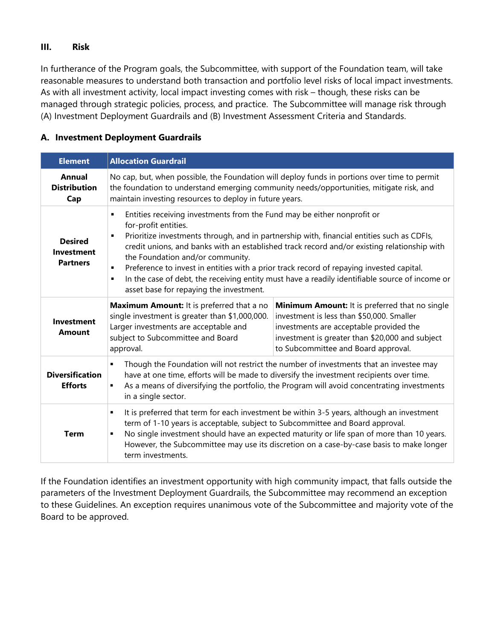#### **III. Risk**

In furtherance of the Program goals, the Subcommittee, with support of the Foundation team, will take reasonable measures to understand both transaction and portfolio level risks of local impact investments. As with all investment activity, local impact investing comes with risk – though, these risks can be managed through strategic policies, process, and practice. The Subcommittee will manage risk through (A) Investment Deployment Guardrails and (B) Investment Assessment Criteria and Standards.

| <b>Element</b>                                         | <b>Allocation Guardrail</b>                                                                                                                                                                                                                                                                                                                                                                                                                                                                                                                                                                   |  |  |  |
|--------------------------------------------------------|-----------------------------------------------------------------------------------------------------------------------------------------------------------------------------------------------------------------------------------------------------------------------------------------------------------------------------------------------------------------------------------------------------------------------------------------------------------------------------------------------------------------------------------------------------------------------------------------------|--|--|--|
| Annual<br><b>Distribution</b><br>Cap                   | No cap, but, when possible, the Foundation will deploy funds in portions over time to permit<br>the foundation to understand emerging community needs/opportunities, mitigate risk, and<br>maintain investing resources to deploy in future years.                                                                                                                                                                                                                                                                                                                                            |  |  |  |
| <b>Desired</b><br><b>Investment</b><br><b>Partners</b> | Entities receiving investments from the Fund may be either nonprofit or<br>٠<br>for-profit entities.<br>Prioritize investments through, and in partnership with, financial entities such as CDFIs,<br>٠<br>credit unions, and banks with an established track record and/or existing relationship with<br>the Foundation and/or community.<br>Preference to invest in entities with a prior track record of repaying invested capital.<br>٠<br>In the case of debt, the receiving entity must have a readily identifiable source of income or<br>٠<br>asset base for repaying the investment. |  |  |  |
| <b>Investment</b><br>Amount                            | Maximum Amount: It is preferred that a no<br>Minimum Amount: It is preferred that no single<br>single investment is greater than \$1,000,000.<br>investment is less than \$50,000. Smaller<br>Larger investments are acceptable and<br>investments are acceptable provided the<br>subject to Subcommittee and Board<br>investment is greater than \$20,000 and subject<br>to Subcommittee and Board approval.<br>approval.                                                                                                                                                                    |  |  |  |
| <b>Diversification</b><br><b>Efforts</b>               | Though the Foundation will not restrict the number of investments that an investee may<br>have at one time, efforts will be made to diversify the investment recipients over time.<br>As a means of diversifying the portfolio, the Program will avoid concentrating investments<br>in a single sector.                                                                                                                                                                                                                                                                                       |  |  |  |
| <b>Term</b>                                            | It is preferred that term for each investment be within 3-5 years, although an investment<br>٠<br>term of 1-10 years is acceptable, subject to Subcommittee and Board approval.<br>No single investment should have an expected maturity or life span of more than 10 years.<br>٠<br>However, the Subcommittee may use its discretion on a case-by-case basis to make longer<br>term investments.                                                                                                                                                                                             |  |  |  |

#### **A. Investment Deployment Guardrails**

If the Foundation identifies an investment opportunity with high community impact, that falls outside the parameters of the Investment Deployment Guardrails, the Subcommittee may recommend an exception to these Guidelines. An exception requires unanimous vote of the Subcommittee and majority vote of the Board to be approved.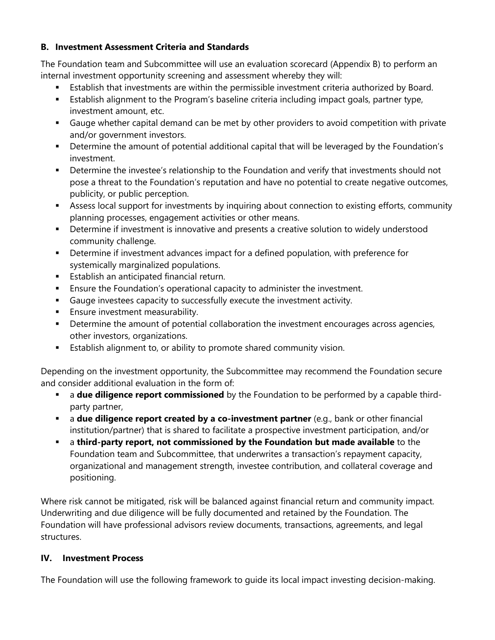## **B. Investment Assessment Criteria and Standards**

The Foundation team and Subcommittee will use an evaluation scorecard (Appendix B) to perform an internal investment opportunity screening and assessment whereby they will:

- Establish that investments are within the permissible investment criteria authorized by Board.
- Establish alignment to the Program's baseline criteria including impact goals, partner type, investment amount, etc.
- Gauge whether capital demand can be met by other providers to avoid competition with private and/or government investors.
- **•** Determine the amount of potential additional capital that will be leveraged by the Foundation's investment.
- **•** Determine the investee's relationship to the Foundation and verify that investments should not pose a threat to the Foundation's reputation and have no potential to create negative outcomes, publicity, or public perception.
- Assess local support for investments by inquiring about connection to existing efforts, community planning processes, engagement activities or other means.
- Determine if investment is innovative and presents a creative solution to widely understood community challenge.
- **•** Determine if investment advances impact for a defined population, with preference for systemically marginalized populations.
- **Establish an anticipated financial return.**
- **Ensure the Foundation's operational capacity to administer the investment.**
- Gauge investees capacity to successfully execute the investment activity.
- **Ensure investment measurability.**
- **•** Determine the amount of potential collaboration the investment encourages across agencies, other investors, organizations.
- Establish alignment to, or ability to promote shared community vision.

Depending on the investment opportunity, the Subcommittee may recommend the Foundation secure and consider additional evaluation in the form of:

- a **due diligence report commissioned** by the Foundation to be performed by a capable thirdparty partner,
- a **due diligence report created by a co-investment partner** (e.g., bank or other financial institution/partner) that is shared to facilitate a prospective investment participation, and/or
- a **third-party report, not commissioned by the Foundation but made available** to the Foundation team and Subcommittee, that underwrites a transaction's repayment capacity, organizational and management strength, investee contribution, and collateral coverage and positioning.

Where risk cannot be mitigated, risk will be balanced against financial return and community impact. Underwriting and due diligence will be fully documented and retained by the Foundation. The Foundation will have professional advisors review documents, transactions, agreements, and legal structures.

#### **IV. Investment Process**

The Foundation will use the following framework to guide its local impact investing decision-making.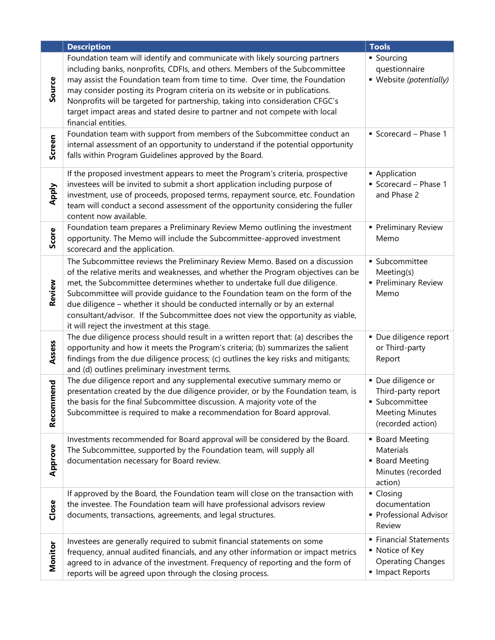|               | <b>Description</b>                                                                                                                                                                                                                                                                                                                                                                                                                                                                                                                              | <b>Tools</b>                                                                                              |
|---------------|-------------------------------------------------------------------------------------------------------------------------------------------------------------------------------------------------------------------------------------------------------------------------------------------------------------------------------------------------------------------------------------------------------------------------------------------------------------------------------------------------------------------------------------------------|-----------------------------------------------------------------------------------------------------------|
| Source        | Foundation team will identify and communicate with likely sourcing partners<br>including banks, nonprofits, CDFIs, and others. Members of the Subcommittee<br>may assist the Foundation team from time to time. Over time, the Foundation<br>may consider posting its Program criteria on its website or in publications.<br>Nonprofits will be targeted for partnership, taking into consideration CFGC's<br>target impact areas and stated desire to partner and not compete with local<br>financial entities.                                | • Sourcing<br>questionnaire<br>• Website (potentially)                                                    |
| Screen        | Foundation team with support from members of the Subcommittee conduct an<br>internal assessment of an opportunity to understand if the potential opportunity<br>falls within Program Guidelines approved by the Board.                                                                                                                                                                                                                                                                                                                          | Scorecard - Phase 1                                                                                       |
| <b>Apply</b>  | If the proposed investment appears to meet the Program's criteria, prospective<br>investees will be invited to submit a short application including purpose of<br>investment, use of proceeds, proposed terms, repayment source, etc. Foundation<br>team will conduct a second assessment of the opportunity considering the fuller<br>content now available.                                                                                                                                                                                   | • Application<br>Scorecard - Phase 1<br>and Phase 2                                                       |
| Score         | Foundation team prepares a Preliminary Review Memo outlining the investment<br>opportunity. The Memo will include the Subcommittee-approved investment<br>scorecard and the application.                                                                                                                                                                                                                                                                                                                                                        | • Preliminary Review<br>Memo                                                                              |
| Review        | The Subcommittee reviews the Preliminary Review Memo. Based on a discussion<br>of the relative merits and weaknesses, and whether the Program objectives can be<br>met, the Subcommittee determines whether to undertake full due diligence.<br>Subcommittee will provide guidance to the Foundation team on the form of the<br>due diligence - whether it should be conducted internally or by an external<br>consultant/advisor. If the Subcommittee does not view the opportunity as viable,<br>it will reject the investment at this stage. | • Subcommittee<br>Meeting(s)<br>• Preliminary Review<br>Memo                                              |
| Assess        | The due diligence process should result in a written report that: (a) describes the<br>opportunity and how it meets the Program's criteria; (b) summarizes the salient<br>findings from the due diligence process; (c) outlines the key risks and mitigants;<br>and (d) outlines preliminary investment terms.                                                                                                                                                                                                                                  | · Due diligence report<br>or Third-party<br>Report                                                        |
| mend<br>Recom | The due diligence report and any supplemental executive summary memo or<br>presentation created by the due diligence provider, or by the Foundation team, is<br>the basis for the final Subcommittee discussion. A majority vote of the<br>Subcommittee is required to make a recommendation for Board approval.                                                                                                                                                                                                                                | • Due diligence or<br>Third-party report<br>· Subcommittee<br><b>Meeting Minutes</b><br>(recorded action) |
| Approve       | Investments recommended for Board approval will be considered by the Board.<br>The Subcommittee, supported by the Foundation team, will supply all<br>documentation necessary for Board review.                                                                                                                                                                                                                                                                                                                                                 | <b>Board Meeting</b><br>Materials<br><b>Board Meeting</b><br>Minutes (recorded<br>action)                 |
| Close         | If approved by the Board, the Foundation team will close on the transaction with<br>the investee. The Foundation team will have professional advisors review<br>documents, transactions, agreements, and legal structures.                                                                                                                                                                                                                                                                                                                      | • Closing<br>documentation<br>• Professional Advisor<br>Review                                            |
| Monitor       | Investees are generally required to submit financial statements on some<br>frequency, annual audited financials, and any other information or impact metrics<br>agreed to in advance of the investment. Frequency of reporting and the form of<br>reports will be agreed upon through the closing process.                                                                                                                                                                                                                                      | • Financial Statements<br>Notice of Key<br><b>Operating Changes</b><br>Impact Reports                     |